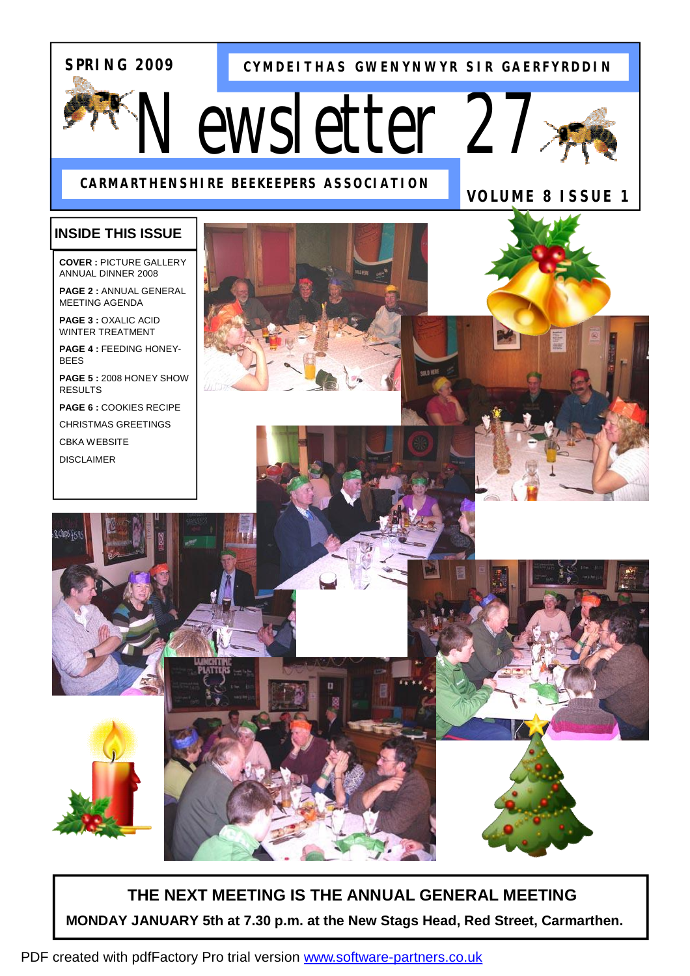## **SPRING 2009**

**CYMDEITHAS GWENYNWYR SIR GAERFYRDDIN**

*Newsletter 27* 





**VOLUME 8 ISSUE 1** 

## **INSIDE THIS ISSUE**

**COVER :** PICTURE GALLERY ANNUAL DINNER 2008

**PAGE 2 :** ANNUAL GENERAL MEETING AGENDA

**PAGE 3 :** OXALIC ACID WINTER TREATMENT

**PAGE 4 :** FEEDING HONEY-BEES

**PAGE 5 :** 2008 HONEY SHOW RESULTS

**PAGE 6 :** COOKIES RECIPE CHRISTMAS GREETINGS

CBKA WEBSITE

DISCLAIMER



## **THE NEXT MEETING IS THE ANNUAL GENERAL MEETING MONDAY JANUARY 5th at 7.30 p.m. at the New Stags Head, Red Street, Carmarthen.**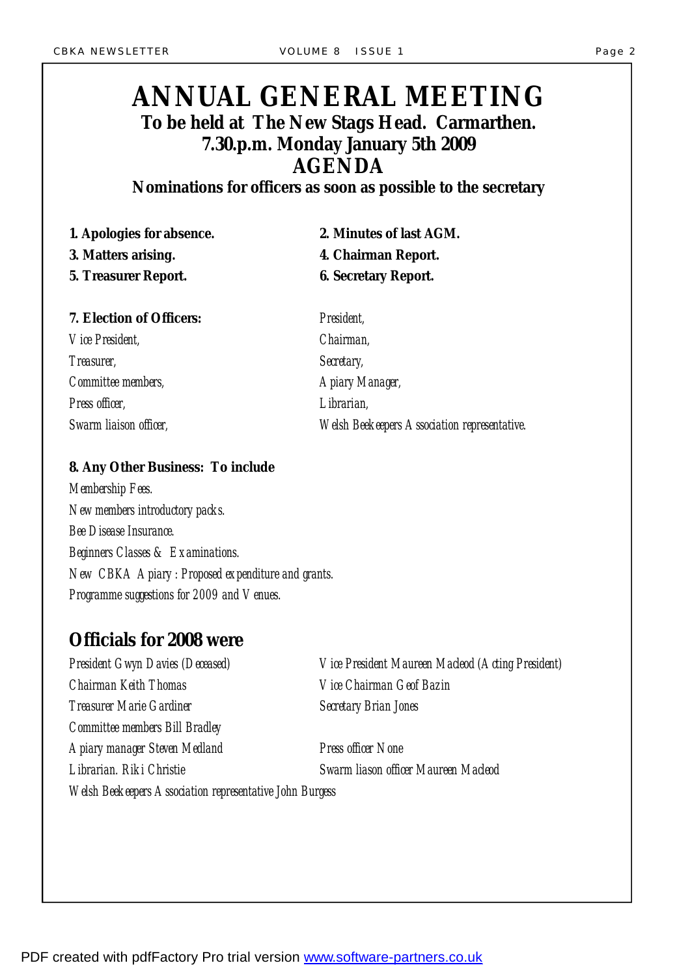# *ANNUAL GENERAL MEETING To be held at The New Stags Head. Carmarthen. 7.30.p.m. Monday January 5th 2009 AGENDA*

*Nominations for officers as soon as possible to the secretary* 

*1. Apologies for absence. 2. Minutes of last AGM. 3. Matters arising. 4. Chairman Report. 5. Treasurer Report. 6. Secretary Report.* 

| <b>7. Election of Officers:</b> | President,                                          |
|---------------------------------|-----------------------------------------------------|
| <i><b>Vice President,</b></i>   | <i><b>Chairman,</b></i>                             |
| <i>Treasurer,</i>               | Secretary,                                          |
| Committee members,              | A piary Manager,                                    |
| Press officer,                  | <i>Librarian</i> ,                                  |
| Swarm liaison officer,          | <b>Welsh Beekeepers Association representative.</b> |

*8. Any Other Business: To include Membership Fees. New members introductory packs. Bee Disease Insurance. Beginners Classes & Examinations. New CBKA Apiary : Proposed expenditure and grants. Programme suggestions for 2009 and Venues.* 

## *Officials for 2008 were*

*President Gwyn Davies (Deceased) Vice President Maureen Macleod (Acting President) Chairman Keith Thomas Vice Chairman Geof Bazin Treasurer Marie Gardiner Secretary Brian Jones Committee members Bill Bradley Apiary manager Steven Medland Press officer None Librarian. Riki Christie Swarm liason officer Maureen Macleod Welsh Beekeepers Association representative John Burgess*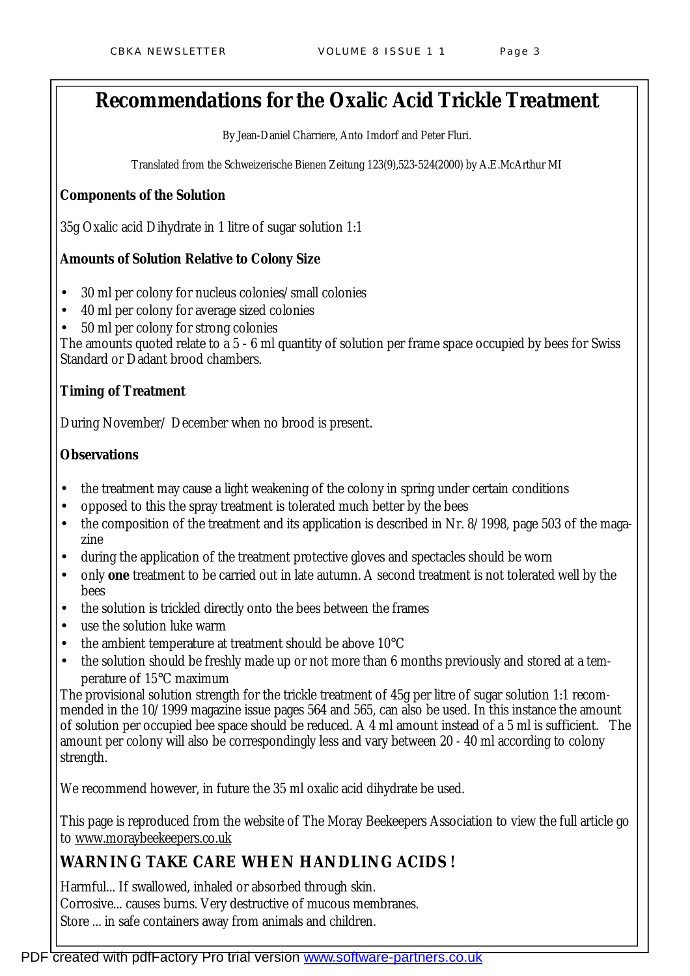# **Recommendations for the Oxalic Acid Trickle Treatment**

By Jean-Daniel Charriere, Anto Imdorf and Peter Fluri.

Translated from the Schweizerische Bienen Zeitung 123(9),523-524(2000) by A.E.McArthur MI

### **Components of the Solution**

35g Oxalic acid Dihydrate in 1 litre of sugar solution 1:1

## **Amounts of Solution Relative to Colony Size**

- 30 ml per colony for nucleus colonies/small colonies
- 40 ml per colony for average sized colonies
- 50 ml per colony for strong colonies

The amounts quoted relate to a 5 - 6 ml quantity of solution per frame space occupied by bees for Swiss Standard or Dadant brood chambers.

## **Timing of Treatment**

During November/ December when no brood is present.

#### **Observations**

- the treatment may cause a light weakening of the colony in spring under certain conditions
- opposed to this the spray treatment is tolerated much better by the bees
- the composition of the treatment and its application is described in Nr. 8/1998, page 503 of the magazine
- during the application of the treatment protective gloves and spectacles should be worn
- only **one** treatment to be carried out in late autumn. A second treatment is not tolerated well by the bees
- the solution is trickled directly onto the bees between the frames
- use the solution luke warm
- the ambient temperature at treatment should be above  $10^{\circ}$ C
- the solution should be freshly made up or not more than 6 months previously and stored at a temperature of 15°C maximum

The provisional solution strength for the trickle treatment of 45g per litre of sugar solution 1:1 recommended in the 10/1999 magazine issue pages 564 and 565, can also be used. In this instance the amount of solution per occupied bee space should be reduced. A 4 ml amount instead of a 5 ml is sufficient. The amount per colony will also be correspondingly less and vary between 20 - 40 ml according to colony strength.

We recommend however, in future the 35 ml oxalic acid dihydrate be used.

This page is reproduced from the website of The Moray Beekeepers Association to view the full article go to [www.moraybeekeepers.co.uk](http://www.moraybeekeepers.co.uk)

## **WARNING TAKE CARE WHEN HANDLING ACIDS !**

Harmful... If swallowed, inhaled or absorbed through skin. Corrosive... causes burns. Very destructive of mucous membranes. Store ... in safe containers away from animals and children.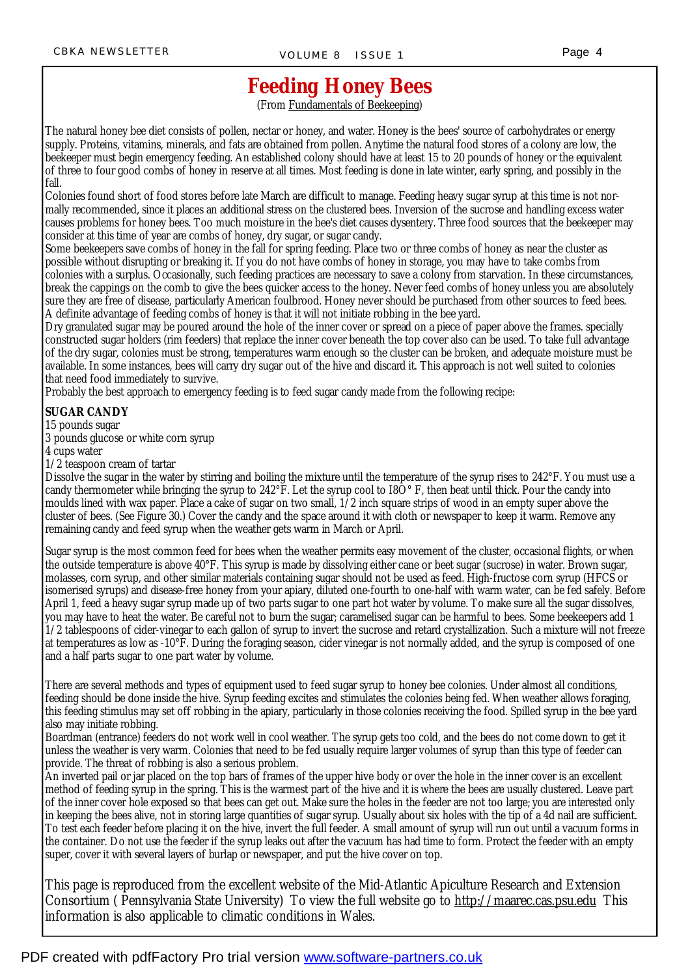#### Page 4

# **Feeding Honey Bees**

(From Fundamentals of Beekeeping)

The natural honey bee diet consists of pollen, nectar or honey, and water. Honey is the bees' source of carbohydrates or energy supply. Proteins, vitamins, minerals, and fats are obtained from pollen. Anytime the natural food stores of a colony are low, the beekeeper must begin emergency feeding. An established colony should have at least 15 to 20 pounds of honey or the equivalent of three to four good combs of honey in reserve at all times. Most feeding is done in late winter, early spring, and possibly in the fall.

Colonies found short of food stores before late March are difficult to manage. Feeding heavy sugar syrup at this time is not normally recommended, since it places an additional stress on the clustered bees. Inversion of the sucrose and handling excess water causes problems for honey bees. Too much moisture in the bee's diet causes dysentery. Three food sources that the beekeeper may consider at this time of year are combs of honey, dry sugar, or sugar candy.

Some beekeepers save combs of honey in the fall for spring feeding. Place two or three combs of honey as near the cluster as possible without disrupting or breaking it. If you do not have combs of honey in storage, you may have to take combs from colonies with a surplus. Occasionally, such feeding practices are necessary to save a colony from starvation. In these circumstances, break the cappings on the comb to give the bees quicker access to the honey. Never feed combs of honey unless you are absolutely sure they are free of disease, particularly American foulbrood. Honey never should be purchased from other sources to feed bees. A definite advantage of feeding combs of honey is that it will not initiate robbing in the bee yard.

Dry granulated sugar may be poured around the hole of the inner cover or spread on a piece of paper above the frames. specially constructed sugar holders (rim feeders) that replace the inner cover beneath the top cover also can be used. To take full advantage of the dry sugar, colonies must be strong, temperatures warm enough so the cluster can be broken, and adequate moisture must be available. In some instances, bees will carry dry sugar out of the hive and discard it. This approach is not well suited to colonies that need food immediately to survive.

Probably the best approach to emergency feeding is to feed sugar candy made from the following recipe:

#### **SUGAR CANDY**

15 pounds sugar

3 pounds glucose or white corn syrup

4 cups water

1/2 teaspoon cream of tartar

Dissolve the sugar in the water by stirring and boiling the mixture until the temperature of the syrup rises to 242°F. You must use a candy thermometer while bringing the syrup to  $242^{\circ}$ F. Let the syrup cool to I8O $^{\circ}$ F, then beat until thick. Pour the candy into moulds lined with wax paper. Place a cake of sugar on two small, 1/2 inch square strips of wood in an empty super above the cluster of bees. (See Figure 30.) Cover the candy and the space around it with cloth or newspaper to keep it warm. Remove any remaining candy and feed syrup when the weather gets warm in March or April.

Sugar syrup is the most common feed for bees when the weather permits easy movement of the cluster, occasional flights, or when the outside temperature is above 40°F. This syrup is made by dissolving either cane or beet sugar (sucrose) in water. Brown sugar, molasses, corn syrup, and other similar materials containing sugar should not be used as feed. High-fructose corn syrup (HFCS or isomerised syrups) and disease-free honey from your apiary, diluted one-fourth to one-half with warm water, can be fed safely. Before April 1, feed a heavy sugar syrup made up of two parts sugar to one part hot water by volume. To make sure all the sugar dissolves, you may have to heat the water. Be careful not to burn the sugar; caramelised sugar can be harmful to bees. Some beekeepers add 1 1/2 tablespoons of cider-vinegar to each gallon of syrup to invert the sucrose and retard crystallization. Such a mixture will not freeze at temperatures as low as -10°F. During the foraging season, cider vinegar is not normally added, and the syrup is composed of one and a half parts sugar to one part water by volume.

There are several methods and types of equipment used to feed sugar syrup to honey bee colonies. Under almost all conditions, feeding should be done inside the hive. Syrup feeding excites and stimulates the colonies being fed. When weather allows foraging, this feeding stimulus may set off robbing in the apiary, particularly in those colonies receiving the food. Spilled syrup in the bee yard also may initiate robbing.

Boardman (entrance) feeders do not work well in cool weather. The syrup gets too cold, and the bees do not come down to get it unless the weather is very warm. Colonies that need to be fed usually require larger volumes of syrup than this type of feeder can provide. The threat of robbing is also a serious problem.

An inverted pail or jar placed on the top bars of frames of the upper hive body or over the hole in the inner cover is an excellent method of feeding syrup in the spring. This is the warmest part of the hive and it is where the bees are usually clustered. Leave part of the inner cover hole exposed so that bees can get out. Make sure the holes in the feeder are not too large; you are interested only in keeping the bees alive, not in storing large quantities of sugar syrup. Usually about six holes with the tip of a 4d nail are sufficient. To test each feeder before placing it on the hive, invert the full feeder. A small amount of syrup will run out until a vacuum forms in the container. Do not use the feeder if the syrup leaks out after the vacuum has had time to form. Protect the feeder with an empty super, cover it with several layers of burlap or newspaper, and put the hive cover on top.

This page is reproduced from the excellent website of the Mid-Atlantic Apiculture Research and Extension Consortium ( Pennsylvania State University) To view the full website go to <http://maarec.cas.psu.edu> This information is also applicable to climatic conditions in Wales.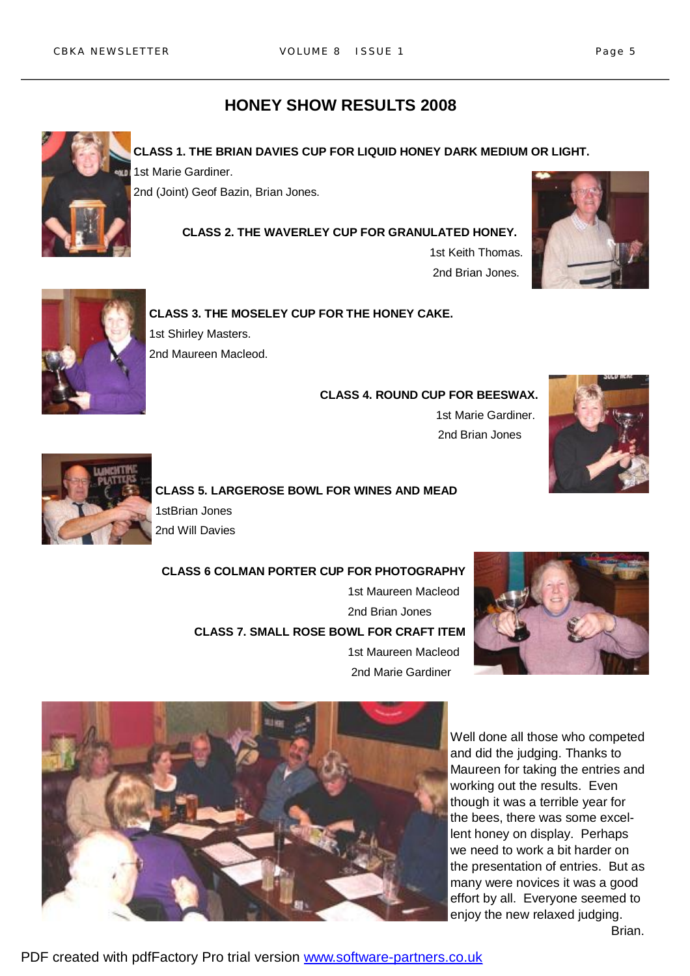## **HONEY SHOW RESULTS 2008**



**CLASS 1. THE BRIAN DAVIES CUP FOR LIQUID HONEY DARK MEDIUM OR LIGHT.**  1st Marie Gardiner.

2nd (Joint) Geof Bazin, Brian Jones.

#### **CLASS 2. THE WAVERLEY CUP FOR GRANULATED HONEY.**

 1st Keith Thomas. 2nd Brian Jones.





**CLASS 3. THE MOSELEY CUP FOR THE HONEY CAKE.**  1st Shirley Masters. 2nd Maureen Macleod.

> **CLASS 4. ROUND CUP FOR BEESWAX.** 1st Marie Gardiner. 2nd Brian Jones





**CLASS 5. LARGEROSE BOWL FOR WINES AND MEAD**  1stBrian Jones 2nd Will Davies

 **CLASS 6 COLMAN PORTER CUP FOR PHOTOGRAPHY** 1st Maureen Macleod 2nd Brian Jones **CLASS 7. SMALL ROSE BOWL FOR CRAFT ITEM** 1st Maureen Macleod

2nd Marie Gardiner





Well done all those who competed and did the judging. Thanks to Maureen for taking the entries and working out the results. Even though it was a terrible year for the bees, there was some excellent honey on display. Perhaps we need to work a bit harder on the presentation of entries. But as many were novices it was a good effort by all. Everyone seemed to enjoy the new relaxed judging. Brian.

PDF created with pdfFactory Pro trial version [www.software-partners.co.uk](http://www.software-partners.co.uk)